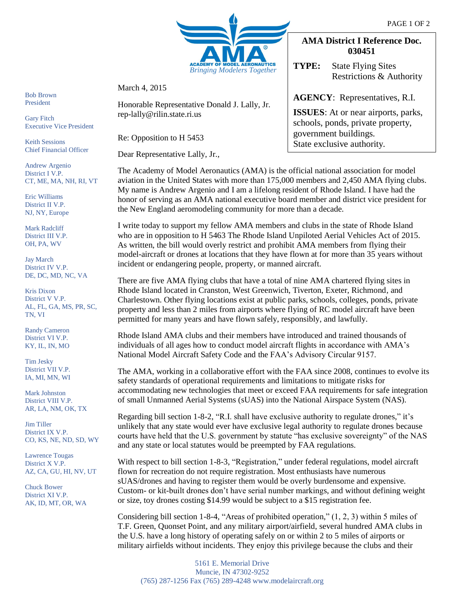

March 4, 2015

Honorable Representative Donald J. Lally, Jr. rep-lally@rilin.state.ri.us

Re: Opposition to H 5453

Dear Representative Lally, Jr.,

The Academy of Model Aeronautics (AMA) is the official national association for model aviation in the United States with more than 175,000 members and 2,450 AMA flying clubs. My name is Andrew Argenio and I am a lifelong resident of Rhode Island. I have had the honor of serving as an AMA national executive board member and district vice president for the New England aeromodeling community for more than a decade.

I write today to support my fellow AMA members and clubs in the state of Rhode Island who are in opposition to H 5463 The Rhode Island Unpiloted Aerial Vehicles Act of 2015. As written, the bill would overly restrict and prohibit AMA members from flying their model-aircraft or drones at locations that they have flown at for more than 35 years without incident or endangering people, property, or manned aircraft.

There are five AMA flying clubs that have a total of nine AMA chartered flying sites in Rhode Island located in Cranston, West Greenwich, Tiverton, Exeter, Richmond, and Charlestown. Other flying locations exist at public parks, schools, colleges, ponds, private property and less than 2 miles from airports where flying of RC model aircraft have been permitted for many years and have flown safely, responsibly, and lawfully.

Rhode Island AMA clubs and their members have introduced and trained thousands of individuals of all ages how to conduct model aircraft flights in accordance with AMA's National Model Aircraft Safety Code and the FAA's Advisory Circular 9157.

The AMA, working in a collaborative effort with the FAA since 2008, continues to evolve its safety standards of operational requirements and limitations to mitigate risks for accommodating new technologies that meet or exceed FAA requirements for safe integration of small Unmanned Aerial Systems (sUAS) into the National Airspace System (NAS).

Regarding bill section 1-8-2, "R.I. shall have exclusive authority to regulate drones," it's unlikely that any state would ever have exclusive legal authority to regulate drones because courts have held that the U.S. government by statute "has exclusive sovereignty" of the NAS and any state or local statutes would be preempted by FAA regulations.

With respect to bill section 1-8-3, "Registration," under federal regulations, model aircraft flown for recreation do not require registration. Most enthusiasts have numerous sUAS/drones and having to register them would be overly burdensome and expensive. Custom- or kit-built drones don't have serial number markings, and without defining weight or size, toy drones costing \$14.99 would be subject to a \$15 registration fee.

Considering bill section 1-8-4, "Areas of prohibited operation," (1, 2, 3) within 5 miles of T.F. Green, Quonset Point, and any military airport/airfield, several hundred AMA clubs in the U.S. have a long history of operating safely on or within 2 to 5 miles of airports or military airfields without incidents. They enjoy this privilege because the clubs and their

Gary Fitch Executive Vice President

Keith Sessions Chief Financial Officer

Andrew Argenio District I V.P. CT, ME, MA, NH, RI, VT

Eric Williams District II V.P. NJ, NY, Europe

Mark Radcliff District III V.P. OH, PA, WV

Jay March District IV V.P. DE, DC, MD, NC, VA

Kris Dixon District V V.P. AL, FL, GA, MS, PR, SC, TN, VI

Randy Cameron District VI V.P. KY, IL, IN, MO

Tim Jesky District VII V.P. IA, MI, MN, WI

Mark Johnston District VIII V.P. AR, LA, NM, OK, TX

Jim Tiller District IX V.P. CO, KS, NE, ND, SD, WY

Lawrence Tougas District X V.P. AZ, CA, GU, HI, NV, UT

Chuck Bower District XI V.P. AK, ID, MT, OR, WA

## **AMA District I Reference Doc. 030451**

**TYPE:** State Flying Sites Restrictions & Authority

## **AGENCY**: Representatives, R.I.

**ISSUES**: At or near airports, parks, schools, ponds, private property, government buildings. State exclusive authority.